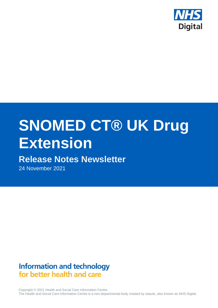

# **SNOMED CT® UK Drug Extension**

# **Release Notes Newsletter**

24 November 2021

# **Information and technology** for better health and care

Copyright © 2021 Health and Social Care Information Centre. The Health and Social Care Information Centre is a non-departmental body created by statute, also known as NHS Digital.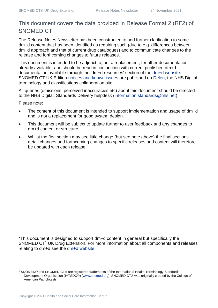# This document covers the data provided in Release Format 2 (RF2) of SNOMED CT

The Release Notes Newsletter has been constructed to add further clarification to some dm+d content that has been identified as requiring such (due to e.g. differences between dm+d approach and that of current drug catalogues) and to communicate changes to the release and forthcoming changes to future releases.

This document is intended to be adjunct to, not a replacement, for other documentation already available, and should be read in conjunction with current published dm+d documentation available through the 'dm+d resources' section of the [dm+d website.](https://www.nhsbsa.nhs.uk/pharmacies-gp-practices-and-appliance-contractors/dictionary-medicines-and-devices-dmd) SNOMED CT UK Edition [notices and known issues](https://hscic.kahootz.com/connect.ti/t_c_home/view?objectId=14224752) are published on [Delen,](https://hscic.kahootz.com/connect.ti/t_c_home) the NHS Digital terminology and classifications collaboration site.

All queries (omissions, perceived inaccuracies etc) about this document should be directed to the NHS Digital, Standards Delivery helpdesk [\(information.standards@nhs.net\)](mailto:information.standards@nhs.net).

Please note:

- The content of this document is intended to support implementation and usage of dm+d and is not a replacement for good system design.
- This document will be subject to update further to user feedback and any changes to dm+d content or structure.
- Whilst the first section may see little change (but see note above) the final sections detail changes and forthcoming changes to specific releases and content will therefore be updated with each release.

\*This document is designed to support dm+d content in general but specifically the SNOMED CT<sup>1</sup> UK Drug Extension. For more information about all components and releases relating to dm+d see the [dm+d website](https://www.nhsbsa.nhs.uk/pharmacies-gp-practices-and-appliance-contractors/dictionary-medicines-and-devices-dmd)

<sup>1</sup> SNOMED® and SNOMED CT® are registered trademarks of the International Health Terminology Standards Development Organisation (IHTSDO®) [\(www.snomed.org\)](http://www.snomed.org/). SNOMED CT® was originally created by the College of American Pathologists.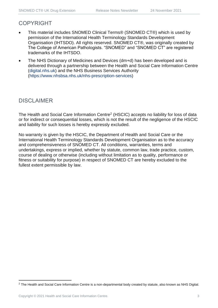## COPYRIGHT

- This material includes SNOMED Clinical Terms® (SNOMED CT®) which is used by permission of the International Health Terminology Standards Development Organisation (IHTSDO). All rights reserved. SNOMED CT®, was originally created by The College of American Pathologists. "SNOMED" and "SNOMED CT" are registered trademarks of the IHTSDO.
- The NHS Dictionary of Medicines and Devices (dm+d) has been developed and is delivered through a partnership between the Health and Social Care Information Centre [\(digital.nhs.uk\)](https://digital.nhs.uk/) and the NHS Business Services Authority [\(https://www.nhsbsa.nhs.uk/nhs-prescription-services\)](https://www.nhsbsa.nhs.uk/nhs-prescription-services)

# DISCLAIMER

The Health and Social Care Information Centre<sup>2</sup> (HSCIC) accepts no liability for loss of data or for indirect or consequential losses, which is not the result of the negligence of the HSCIC and liability for such losses is hereby expressly excluded.

No warranty is given by the HSCIC, the Department of Health and Social Care or the International Health Terminology Standards Development Organisation as to the accuracy and comprehensiveness of SNOMED CT. All conditions, warranties, terms and undertakings, express or implied, whether by statute, common law, trade practice, custom, course of dealing or otherwise (including without limitation as to quality, performance or fitness or suitability for purpose) in respect of SNOMED CT are hereby excluded to the fullest extent permissible by law.

<sup>&</sup>lt;sup>2</sup> The Health and Social Care Information Centre is a non-departmental body created by statute, also known as NHS Digital.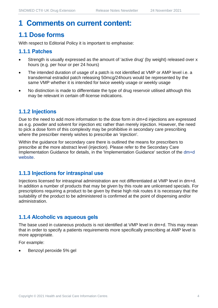# **1 Comments on current content:**

# **1.1 Dose forms**

With respect to Editorial Policy it is important to emphasise:

#### **1.1.1 Patches**

- Strength is usually expressed as the amount of 'active drug' (by weight) released over x hours (e.g. per hour or per 24 hours)
- The intended duration of usage of a patch is not identified at VMP or AMP level i.e. a transdermal estradiol patch releasing 50mcg/24hours would be represented by the same VMP whether it is intended for twice weekly usage or weekly usage
- No distinction is made to differentiate the type of drug reservoir utilised although this may be relevant in certain off-license indications.

#### **1.1.2 Injections**

Due to the need to add more information to the dose form in dm+d injections are expressed as e.g. powder and solvent for injection etc rather than merely injection. However, the need to pick a dose form of this complexity may be prohibitive in secondary care prescribing where the prescriber merely wishes to prescribe an 'injection'.

Within the guidance for secondary care there is outlined the means for prescribers to prescribe at the more abstract level (injection). Please refer to the Secondary Care Implementation Guidance for details, in the 'Implementation Guidance' section of the [dm+d](https://www.nhsbsa.nhs.uk/pharmacies-gp-practices-and-appliance-contractors/dictionary-medicines-and-devices-dmd)  [website.](https://www.nhsbsa.nhs.uk/pharmacies-gp-practices-and-appliance-contractors/dictionary-medicines-and-devices-dmd)

#### **1.1.3 Injections for intraspinal use**

Injections licensed for intraspinal administration are not differentiated at VMP level in dm+d. In addition a number of products that may be given by this route are unlicensed specials. For prescriptions requiring a product to be given by these high risk routes it is necessary that the suitability of the product to be administered is confirmed at the point of dispensing and/or administration.

#### **1.1.4 Alcoholic vs aqueous gels**

The base used in cutaneous products is not identified at VMP level in dm+d. This may mean that in order to specify a patients requirements more specifically prescribing at AMP level is more appropriate.

For example:

• Benzoyl peroxide 5% gel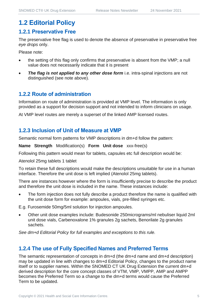# **1.2 Editorial Policy**

#### **1.2.1 Preservative Free**

The preservative free flag is used to denote the absence of preservative in preservative free *eye drops* only.

Please note:

- the setting of this flag only confirms that preservative is absent from the VMP; a null value does not necessarily indicate that it is present
- **The flag is not applied to any other dose form** i.e. intra-spinal injections are not distinguished (see note above).

#### **1.2.2 Route of administration**

Information on route of administration is provided at VMP level. The information is only provided as a support for decision support and not intended to inform clinicians on usage.

At VMP level routes are merely a superset of the linked AMP licensed routes.

#### **1.2.3 Inclusion of Unit of Measure at VMP**

Semantic normal form patterns for VMP descriptions in dm+d follow the pattern:

**Name Strength** Modification(s) **Form Unit dose** xxx-free(s)

Following this pattern would mean for tablets, capsules etc full description would be:

Atenolol 25mg tablets 1 tablet

To retain these full descriptions would make the descriptions unsuitable for use in a human interface. Therefore the unit dose is left implied (Atenolol 25mg tablets).

There are instances however where the form is insufficiently precise to describe the product and therefore the unit dose is included in the name. These instances include:

The form injection does not fully describe a product therefore the name is qualified with the unit dose form for example: ampoules, vials, pre-filled syringes etc.

E.g. Furosemide 50mg/5ml solution for injection ampoules.

• Other unit dose examples include: Budesonide 250micrograms/ml nebuliser liquid 2ml unit dose vials, Carbenoxalone 1% granules 2g sachets, Benorilate 2g granules sachets.

*See dm+d Editorial Policy for full examples and exceptions to this rule.*

#### **1.2.4 The use of Fully Specified Names and Preferred Terms**

The semantic representation of concepts in dm+d (the dm+d name and dm+d description) may be updated in line with changes to dm+d Editorial Policy, changes to the product name itself or to supplier names. Within the SNOMED CT UK Drug Extension the current dm+d derived description for the core concept classes of VTM, VMP, VMPP, AMP and AMPP becomes the Preferred Term so a change to the dm+d terms would cause the Preferred Term to be updated.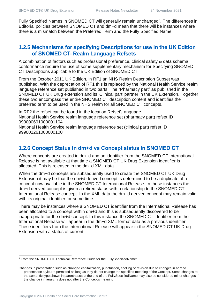Fully Specified Names in SNOMED CT will generally remain unchanged<sup>3</sup>. The differences in Editorial policies between SNOMED CT and dm+d mean that there will be instances where there is a mismatch between the Preferred Term and the Fully Specified Name.

#### **1.2.5 Mechanisms for specifying Descriptions for use in the UK Edition of SNOMED CT- Realm Language Refsets**

A combination of factors such as professional preference, clinical safety & data schema conformance require the use of some supplementary mechanism for Specifying SNOMED CT Descriptions applicable to the UK Edition of SNOMED CT.

From the October 2011 UK Edition, in RF1 an NHS Realm Description Subset was published. With the deprecation of RF1 this is replaced by the National Health Service realm language reference set published in two parts. The "Pharmacy part" as published in the SNOMED CT UK Drug extension and its 'Clinical part' partner in the UK Extension. Together these two encompass the entire SNOMED CT description content and identifies the preferred term to be used in the NHS realm for all SNOMED CT concepts.

In RF2 the refset can be found in the location Refset\Language. National Health Service realm language reference set (pharmacy part) refset ID 999000691000001104

National Health Service realm language reference set (clinical part) refset ID 999001261000000100

#### **1.2.6 Concept Status in dm+d vs Concept status in SNOMED CT**

Where concepts are created in dm+d and an identifier from the SNOMED CT International Release is not available at that time a SNOMED CT UK Drug Extension identifier is allocated. This is released in the dm+d XML data.

When the dm+d concepts are subsequently used to create the SNOMED CT UK Drug Extension it may be that the dm+d derived concept is determined to be a duplicate of a concept now available in the SNOMED CT International Release. In these instances the dm+d derived concept is given a retired status with a relationship to the SNOMED CT International Release concept. In the XML data the dm+d derived concept may remain valid with its original identifier for some time.

There may be instances where a SNOMED CT identifier from the International Release has been allocated to a concept within dm+d and this is subsequently discovered to be inappropriate for the dm+d concept. In this instance the SNOMED CT identifier from the International Release will appear in the dm+d XML format data as a previous identifier. These identifiers from the International Release will appear in the SNOMED CT UK Drug Extension with a status of current.

<sup>3</sup> From the SNOMED CT Technical Reference Guide for the FullySpecifiedName:

Changes in presentation such as changed capitalization, punctuation, spelling or revision due to changes in agreed presentation style are permitted as long as they do not change the specified meaning of the Concept. Some changes to the semantic type shown in parentheses at the end of the FullySpecifiedName may also be considered minor changes if the change in hierarchy does not alter the Concept's meaning.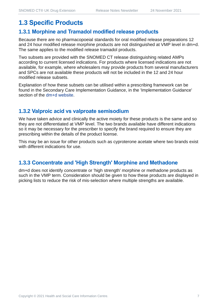# **1.3 Specific Products**

#### **1.3.1 Morphine and Tramadol modified release products**

Because there are no pharmacopoeial standards for oral modified release preparations 12 and 24 hour modified release morphine products are not distinguished at VMP level in dm+d. The same applies to the modified release tramadol products.

Two subsets are provided with the SNOMED CT release distinguishing related AMPs according to current licensed indications. For products where licensed indications are not available, for example, where wholesalers may provide products from several manufacturers and SPCs are not available these products will not be included in the 12 and 24 hour modified release subsets.

Explanation of how these subsets can be utilised within a prescribing framework can be found in the Secondary Care Implementation Guidance, in the 'Implementation Guidance' section of the [dm+d website.](https://www.nhsbsa.nhs.uk/pharmacies-gp-practices-and-appliance-contractors/dictionary-medicines-and-devices-dmd)

#### **1.3.2 Valproic acid vs valproate semisodium**

We have taken advice and clinically the active moiety for these products is the same and so they are not differentiated at VMP level. The two brands available have different indications so it may be necessary for the prescriber to specify the brand required to ensure they are prescribing within the details of the product license.

This may be an issue for other products such as cyproterone acetate where two brands exist with different indications for use.

#### **1.3.3 Concentrate and 'High Strength' Morphine and Methadone**

dm+d does not identify concentrate or 'high strength' morphine or methadone products as such in the VMP term. Consideration should be given to how these products are displayed in picking lists to reduce the risk of mis-selection where multiple strengths are available.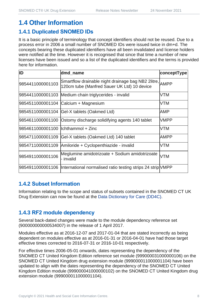# **1.4 Other Information**

#### **1.4.1 Duplicated SNOMED IDs**

It is a basic principle of terminology that concept identifiers should not be reused. Due to a process error in 2006 a small number of SNOMED IDs were issued twice in dm+d. The concepts bearing these duplicated identifiers have all been invalidated and license holders were notified at the time. However it is recognised that since that time a number of new licenses have been issued and so a list of the duplicated identifiers and the terms is provided here for information.

| ID                                  | dmd_name                                                                                               | conceptType |
|-------------------------------------|--------------------------------------------------------------------------------------------------------|-------------|
| 9854411000001103                    | Smartflow drainable night drainage bag NB2 2litre, AMPP<br>120cm tube (Manfred Sauer UK Ltd) 10 device |             |
|                                     | 9854411000001103 Medium chain triglycerides - invalid                                                  | <b>VTM</b>  |
|                                     | 9854511000001104 Calcium + Magnesium                                                                   | <b>VTM</b>  |
|                                     | 9854511000001104 Gel-X tablets (Oakmed Ltd)                                                            | AMP         |
|                                     | 9854611000001100 Ostomy discharge solidifying agents 140 tablet                                        | <b>VMPP</b> |
| 9854611000001100  lchthammol + Zinc |                                                                                                        | <b>VTM</b>  |
| 9854711000001109                    | Gel-X tablets (Oakmed Ltd) 140 tablet                                                                  | <b>AMPP</b> |
|                                     | 9854711000001109 Amiloride + Cyclopenthiazide - invalid                                                | <b>VTM</b>  |
| 9854911000001106                    | Meglumine amidotrizoate + Sodium amidotrizoate<br>- invalid                                            | <b>VTM</b>  |
|                                     | 9854911000001106  International normalised ratio testing strips 24 strip VMPP                          |             |

#### **1.4.2 Subset Information**

Information relating to the scope and status of subsets contained in the SNOMED CT UK Drug Extension can now be found at the [Data Dictionary for Care \(DD4C\).](https://dd4c.digital.nhs.uk/dd4c/)

### **1.4.3 RF2 module dependency**

Several back-dated changes were made to the module dependency reference set (900000000000534007) in the release of 1 April 2017.

Modules effective as at 2016-12-07 and 2017-01-04 that are stated incorrectly as being dependent on modules effective as at 2016-01-31 or 2016-04-01 have had those target effective times corrected to 2016-07-31 or 2016-10-01 respectively.

For effective times 2006-05-01 onwards, dates representing the dependency of the SNOMED CT United Kingdom Edition reference set module (999000031000000106) on the SNOMED CT United Kingdom drug extension module (999000011000001104) have been updated to align with the dates representing the dependency of the SNOMED CT United Kingdom Edition module (999000041000000102) on the SNOMED CT United Kingdom drug extension module (999000011000001104).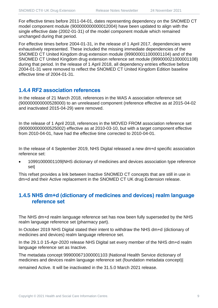For effective times before 2011-04-01, dates representing dependency on the SNOMED CT model component module (900000000000012004) have been updated to align with the single effective date (2002-01-31) of the model component module which remained unchanged during that period.

For effective times before 2004-01-31, in the release of 1 April 2017, dependencies were exhaustively represented. These included the missing immediate dependencies of the SNOMED CT United Kingdom drug extension module (999000011000001104) and of the SNOMED CT United Kingdom drug extension reference set module (999000021000001108) during that period. In the release of 1 April 2018, all dependency entries effective before 2004-01-31 were removed to reflect the SNOMED CT United Kingdom Edition baseline effective time of 2004-01-31.

#### **1.4.4 RF2 association references**

In the release of 21 March 2018, references in the WAS A association reference set (900000000000528000) to an unreleased component (reference effective as at 2015-04-02 and inactivated 2015-04-29) were removed.

In the release of 1 April 2018, references in the MOVED FROM association reference set (900000000000525002) effective as at 2010-03-10, but with a target component effective from 2010-04-01, have had the effective time corrected to 2010-04-01.

In the release of 4 September 2019, NHS Digital released a new dm+d specific association reference set:

• 10991000001109|NHS dictionary of medicines and devices association type reference set|

This refset provides a link between Inactive SNOMED CT concepts that are still in use in dm+d and their Active replacement in the SNOMED CT UK drug Extension release.

#### **1.4.5 NHS dm+d (dictionary of medicines and devices) realm language reference set**

The NHS dm+d realm language reference set has now been fully superseded by the NHS realm language reference set (pharmacy part).

In October 2019 NHS Digital stated their intent to withdraw the NHS dm+d (dictionary of medicines and devices) realm language reference set.

In the 29.1.0 15-Apr-2020 release NHS Digital set every member of the NHS dm+d realm language reference set as Inactive.

The metadata concept 999000671000001103 |National Health Service dictionary of medicines and devices realm language reference set (foundation metadata concept)|

remained Active. It will be inactivated in the 31.5.0 March 2021 release.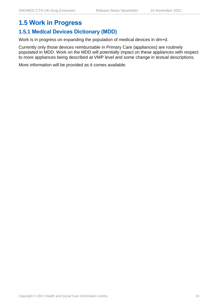# **1.5 Work in Progress**

#### **1.5.1 Medical Devices Dictionary (MDD)**

Work is in progress on expanding the population of medical devices in dm+d.

Currently only those devices reimbursable in Primary Care (appliances) are routinely populated in MDD. Work on the MDD will potentially impact on these appliances with respect to more appliances being described at VMP level and some change in textual descriptions.

More information will be provided as it comes available.